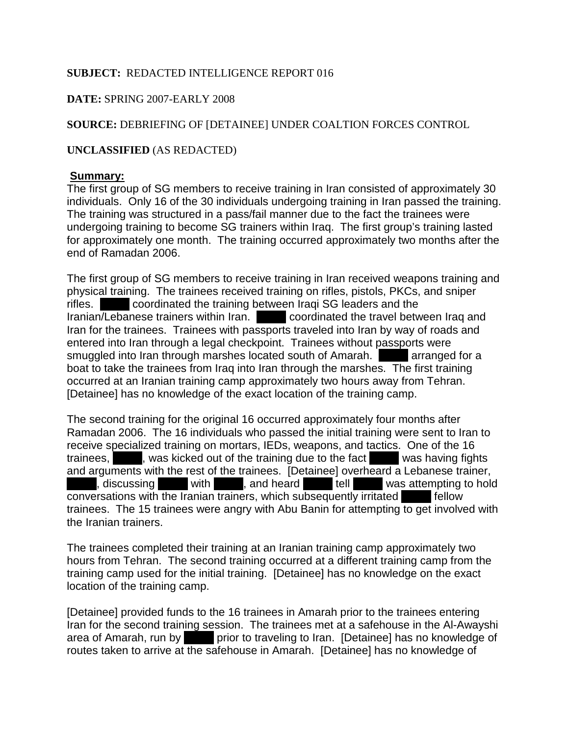# **SUBJECT:** REDACTED INTELLIGENCE REPORT 016

# **DATE:** SPRING 2007-EARLY 2008

# **SOURCE:** DEBRIEFING OF [DETAINEE] UNDER COALTION FORCES CONTROL

## **UNCLASSIFIED** (AS REDACTED)

## **Summary:**

The first group of SG members to receive training in Iran consisted of approximately 30 individuals. Only 16 of the 30 individuals undergoing training in Iran passed the training. The training was structured in a pass/fail manner due to the fact the trainees were undergoing training to become SG trainers within Iraq. The first group's training lasted for approximately one month. The training occurred approximately two months after the end of Ramadan 2006.

The first group of SG members to receive training in Iran received weapons training and physical training. The trainees received training on rifles, pistols, PKCs, and sniper rifles. Coordinated the training between Iraqi SG leaders and the Iranian/Lebanese trainers within Iran. Coordinated the travel between Iraq and Iran for the trainees. Trainees with passports traveled into Iran by way of roads and entered into Iran through a legal checkpoint. Trainees without passports were smuggled into Iran through marshes located south of Amarah. smuggled into Iran through marshes located south of Amarah. boat to take the trainees from Iraq into Iran through the marshes. The first training occurred at an Iranian training camp approximately two hours away from Tehran. [Detainee] has no knowledge of the exact location of the training camp.

The second training for the original 16 occurred approximately four months after Ramadan 2006. The 16 individuals who passed the initial training were sent to Iran to receive specialized training on mortars, IEDs, weapons, and tactics. One of the 16 trainees, Axix was kicked out of the training due to the fact Was having fights and arguments with the rest of the trainees. [Detainee] overheard a Lebanese trainer,  $\lambda$ , discussing  $\lambda$  with  $\lambda$ , and heard  $\lambda$  tell  $\lambda$  was attempting to hold  $\overline{\text{conversions with the Iranian trains, which subsequently irriticaled}$  fellow trainees. The 15 trainees were angry with Abu Banin for attempting to get involved with the Iranian trainers.

The trainees completed their training at an Iranian training camp approximately two hours from Tehran. The second training occurred at a different training camp from the training camp used for the initial training. [Detainee] has no knowledge on the exact location of the training camp.

[Detainee] provided funds to the 16 trainees in Amarah prior to the trainees entering Iran for the second training session. The trainees met at a safehouse in the Al-Awayshi area of Amarah, run by **XXX prior to traveling to Iran.** [Detainee] has no knowledge of routes taken to arrive at the safehouse in Amarah. [Detainee] has no knowledge of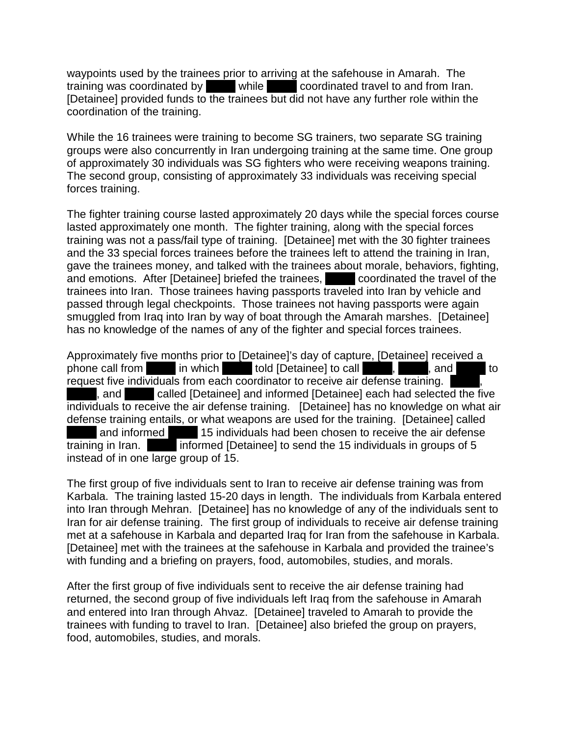waypoints used by the trainees prior to arriving at the safehouse in Amarah. The training was coordinated by  $\blacksquare$  while  $\blacksquare$  coordinated travel to and from Iran. [Detainee] provided funds to the trainees but did not have any further role within the coordination of the training.

While the 16 trainees were training to become SG trainers, two separate SG training groups were also concurrently in Iran undergoing training at the same time. One group of approximately 30 individuals was SG fighters who were receiving weapons training. The second group, consisting of approximately 33 individuals was receiving special forces training.

The fighter training course lasted approximately 20 days while the special forces course lasted approximately one month. The fighter training, along with the special forces training was not a pass/fail type of training. [Detainee] met with the 30 fighter trainees and the 33 special forces trainees before the trainees left to attend the training in Iran, gave the trainees money, and talked with the trainees about morale, behaviors, fighting, and emotions. After [Detainee] briefed the trainees,  $\blacksquare$  coordinated the travel of the trainees into Iran. Those trainees having passports traveled into Iran by vehicle and passed through legal checkpoints. Those trainees not having passports were again smuggled from Iraq into Iran by way of boat through the Amarah marshes. [Detainee] has no knowledge of the names of any of the fighter and special forces trainees.

Approximately five months prior to [Detainee]'s day of capture, [Detainee] received a phone call from XXX in which XXX told [Detainee] to call XXX, XXX, and XXX to request five individuals from each coordinator to receive air defense training. , and **EXXX** called [Detainee] and informed [Detainee] each had selected the five individuals to receive the air defense training. [Detainee] has no knowledge on what air defense training entails, or what weapons are used for the training. [Detainee] called and informed 15 individuals had been chosen to receive the air defense training in Iran. Informed [Detainee] to send the 15 individuals in groups of 5 instead of in one large group of 15.

The first group of five individuals sent to Iran to receive air defense training was from Karbala. The training lasted 15-20 days in length. The individuals from Karbala entered into Iran through Mehran. [Detainee] has no knowledge of any of the individuals sent to Iran for air defense training. The first group of individuals to receive air defense training met at a safehouse in Karbala and departed Iraq for Iran from the safehouse in Karbala. [Detainee] met with the trainees at the safehouse in Karbala and provided the trainee's with funding and a briefing on prayers, food, automobiles, studies, and morals.

After the first group of five individuals sent to receive the air defense training had returned, the second group of five individuals left Iraq from the safehouse in Amarah and entered into Iran through Ahvaz. [Detainee] traveled to Amarah to provide the trainees with funding to travel to Iran. [Detainee] also briefed the group on prayers, food, automobiles, studies, and morals.